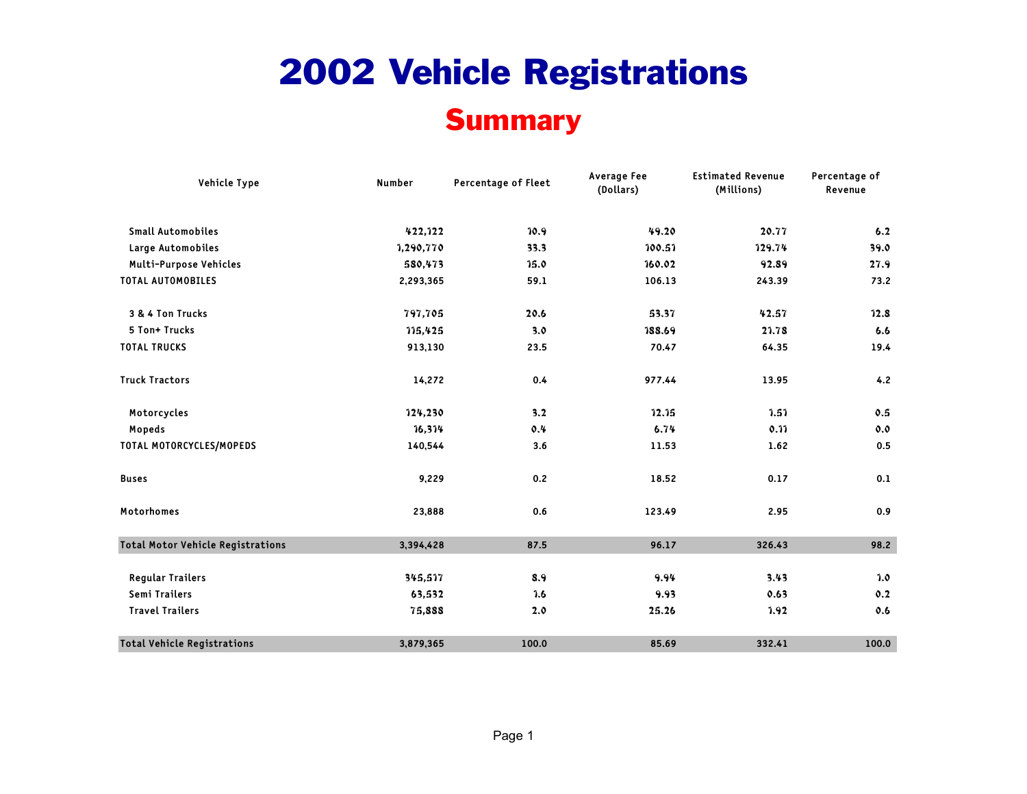#### **Summary**

| Vehicle Type                             | Number    | Percentage of Fleet | <b>Average Fee</b><br>(Dollars) | <b>Estimated Revenue</b><br>(Millions) | Percentage of<br>Revenue |  |
|------------------------------------------|-----------|---------------------|---------------------------------|----------------------------------------|--------------------------|--|
| <b>Small Automobiles</b>                 | 422,122   | 10.9                | 49.20                           | 20.77                                  | 6.2                      |  |
| Large Automobiles                        | 1,290,770 | 33.3                | 100.51                          | 129.74                                 | 39.0                     |  |
| Multi-Purpose Vehicles                   | 580,473   | 15.0                | 160.02                          | 92.89                                  | 27.9                     |  |
| <b>TOTAL AUTOMOBILES</b>                 | 2,293,365 | 59.1                | 106.13                          | 243.39                                 | 73.2                     |  |
| 3 & 4 Ton Trucks                         | 797,705   | 20.6                | 53.37                           | 42.57                                  | 12.8                     |  |
| 5 Ton+ Trucks                            | 115,425   | 3.0                 | 188.69                          | 21.78                                  | 6.6                      |  |
| <b>TOTAL TRUCKS</b>                      | 913,130   | 23.5                | 70.47                           | 64.35                                  | 19.4                     |  |
| <b>Truck Tractors</b>                    | 14,272    | 0.4                 | 977.44                          | 13.95                                  | 4.2                      |  |
| Motorcycles                              | 124,230   | 3.2                 | 12.15                           | 7.57                                   | 0.5                      |  |
| Mopeds                                   | 16,314    | 0.4                 | 6.74                            | 0.11                                   | 0.0                      |  |
| TOTAL MOTORCYCLES/MOPEDS                 | 140,544   | 3.6                 | 11.53                           | 1.62                                   | 0.5                      |  |
| <b>Buses</b>                             | 9,229     | 0.2                 | 18.52                           | 0.17                                   | 0.1                      |  |
| Motorhomes                               | 23,888    | 0.6                 | 123.49                          | 2.95                                   | 0.9                      |  |
| <b>Total Motor Vehicle Registrations</b> | 3,394,428 | 87.5                | 96.17                           | 326.43                                 | 98.2                     |  |
| <b>Regular Trailers</b>                  | 345,517   | 8.9                 | 9.94                            | 3.43                                   | 7.0                      |  |
| Semi Trailers                            | 63,532    | 7.6                 | 9.93                            | 0.63                                   | 0.2                      |  |
| <b>Travel Trailers</b>                   | 75,888    | 2.0                 | 25.26                           | 1.92                                   | 0.6                      |  |
| <b>Total Vehicle Registrations</b>       | 3,879,365 | 100.0               | 85.69                           | 332.41                                 | 100.0                    |  |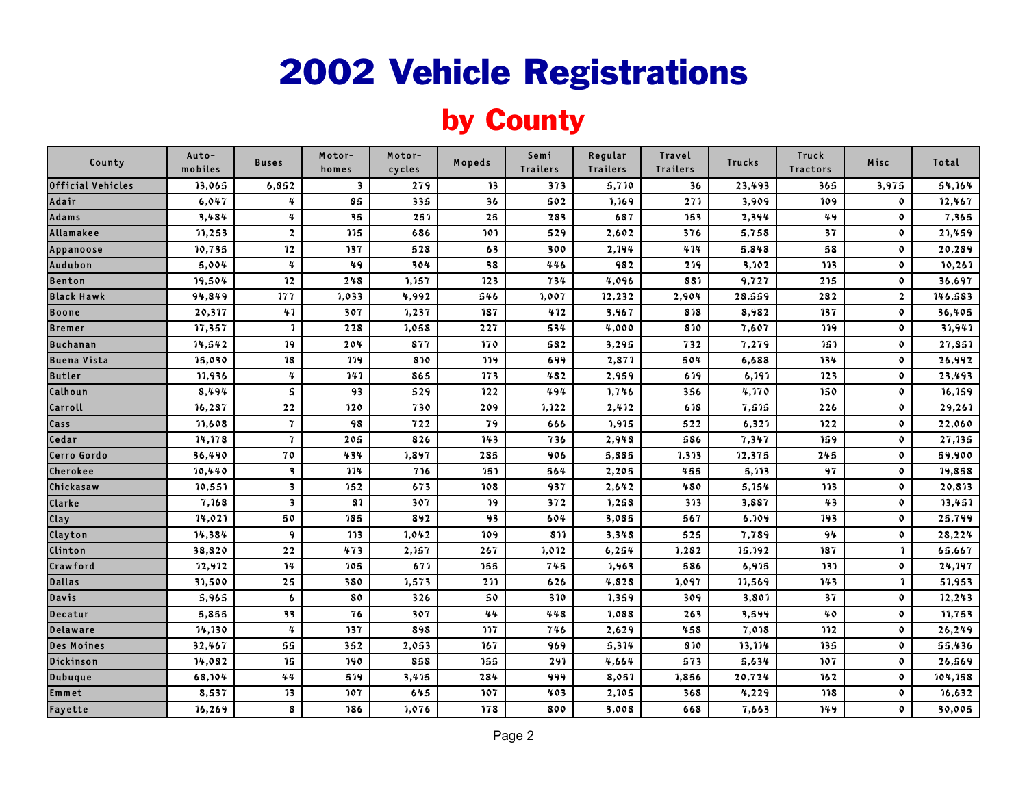### by County

| County             | Auto-<br>mobiles | <b>Buses</b>            | Motor-<br>homes         | Motor-<br>cycles | Mopeds          | Semi<br><b>Trailers</b> | Regular<br><b>Trailers</b> | Travel<br><b>Trailers</b> | <b>Trucks</b> | Truck<br><b>Tractors</b> | Misc                    | Total   |
|--------------------|------------------|-------------------------|-------------------------|------------------|-----------------|-------------------------|----------------------------|---------------------------|---------------|--------------------------|-------------------------|---------|
| Official Vehicles  | 13,065           | 6,852                   | $\overline{\mathbf{3}}$ | 279              | 13              | 373                     | 5,710                      | 36                        | 23,493        | 365                      | 3,975                   | 54,164  |
| Adair              | 6,047            | 4                       | 85                      | 335              | 36              | 502                     | 1,169                      | 271                       | 3,909         | 109                      | $\mathbf{o}$            | 12,467  |
| Adams              | 3,484            | 4                       | 35                      | 251              | 25              | 283                     | 687                        | 153                       | 2,394         | 49                       | $\mathbf{o}$            | 7,365   |
| Allamakee          | 11,253           | $\overline{2}$          | 115                     | 686              | 101             | 529                     | 2,602                      | 376                       | 5,758         | 37                       | $\mathbf{o}$            | 21,459  |
| Appanoose          | 10,735           | 12                      | 137                     | 528              | 63              | 300                     | 2,194                      | 414                       | 5,848         | 58                       | $\mathbf{o}$            | 20,289  |
| Audubon            | 5,004            | 4                       | 49                      | 304              | $\overline{38}$ | 446                     | 982                        | 219                       | 3,102         | $\overline{113}$         | $\mathbf{o}$            | 10, 261 |
| <b>Benton</b>      | 19,504           | 12                      | 248                     | 1,157            | 123             | 734                     | 4,096                      | 881                       | 9,727         | 215                      | $\mathbf{o}$            | 36,697  |
| <b>Black Hawk</b>  | 94,849           | 177                     | 1,033                   | 4,992            | 546             | 1,007                   | 12,232                     | 2,904                     | 28,559        | 282                      | $\overline{\mathbf{2}}$ | 146,583 |
| <b>Boone</b>       | 20,317           | 41                      | 307                     | 1,237            | 187             | 412                     | 3,967                      | 818                       | 8,982         | 137                      | $\mathbf{o}$            | 36,405  |
| <b>Bremer</b>      | 17,357           | $\mathbf{1}$            | 228                     | 1,058            | 227             | 534                     | 4,000                      | 810                       | 7,607         | 119                      | $\mathbf{o}$            | 31,941  |
| <b>Buchanan</b>    | 14,542           | 19                      | 204                     | 877              | 170             | 582                     | 3,295                      | 732                       | 7,279         | 151                      | $\mathbf{o}$            | 27,851  |
| <b>Buena Vista</b> | 15,030           | 18                      | 119                     | 810              | 119             | 699                     | 2,871                      | 504                       | 6,688         | 134                      | $\mathbf{o}$            | 26,992  |
| <b>Butler</b>      | 11,936           | 4                       | 141                     | 865              | 173             | 482                     | 2,959                      | 619                       | 6,191         | 123                      | $\mathbf{o}$            | 23,493  |
| Calhoun            | 8,494            | $5\phantom{.0}$         | 93                      | 529              | 122             | 494                     | 1,746                      | 356                       | 4,170         | 150                      | $\mathbf{o}$            | 16,159  |
| Carroll            | 16,287           | 22                      | 120                     | 730              | 209             | 1,122                   | 2,412                      | 618                       | 7,515         | 226                      | $\mathbf{o}$            | 29,261  |
| Cass               | 11,608           | $\mathbf{7}$            | 98                      | 722              | 79              | 666                     | 1,915                      | 522                       | 6,321         | 122                      | $\mathbf{o}$            | 22,060  |
| Cedar              | 14,178           | $\mathbf{7}$            | 205                     | 826              | 143             | 736                     | 2,948                      | 586                       | 7,347         | 159                      | $\mathbf{o}$            | 27,135  |
| Cerro Gordo        | 36,490           | 70                      | 434                     | 1,897            | 285             | 906                     | 5,885                      | 1,313                     | 12,375        | 245                      | $\mathbf{o}$            | 59,900  |
| Cherokee           | 10,440           | $\overline{\mathbf{3}}$ | 114                     | 716              | 151             | 564                     | 2,205                      | 455                       | 5,113         | 97                       | $\mathbf{o}$            | 19,858  |
| Chickasaw          | 10,551           | $\overline{\mathbf{3}}$ | 152                     | 673              | 108             | 937                     | 2,642                      | 480                       | 5,154         | 113                      | $\mathbf 0$             | 20,813  |
| Clarke             | 7,168            | $\overline{\mathbf{3}}$ | 81                      | 307              | 19              | 372                     | 1,258                      | 313                       | 3,887         | 43                       | $\mathbf{o}$            | 13,451  |
| Clay               | 14,021           | 50                      | 185                     | 892              | 93              | 604                     | 3,085                      | 567                       | 6,109         | 193                      | $\mathbf 0$             | 25,799  |
| Clayton            | 14,384           | $\boldsymbol{9}$        | 113                     | 1,042            | 109             | 811                     | 3,348                      | 525                       | 7,789         | 94                       | $\mathfrak d$           | 28,224  |
| Clinton            | 38,820           | 22                      | 473                     | 2,157            | 267             | 1,012                   | 6,254                      | 1,282                     | 15,192        | 187                      | 1                       | 65,667  |
| Crawford           | 12,912           | 14                      | 105                     | 671              | 155             | 745                     | 1,963                      | 586                       | 6,915         | 131                      | $\mathbf{o}$            | 24,197  |
| <b>Dallas</b>      | 31,500           | 25                      | 380                     | 1,573            | 211             | 626                     | 4,828                      | 1,097                     | 11,569        | 143                      | $\mathbf{1}$            | 51,953  |
| Davis              | 5,965            | 6                       | 80                      | 326              | 50              | 310                     | 1,359                      | 309                       | 3,801         | 37                       | $\mathbf{o}$            | 12,243  |
| Decatur            | 5,855            | 33                      | 76                      | 307              | 44              | 448                     | 1,088                      | 263                       | 3,599         | 40                       | $\mathbf{o}$            | 11,753  |
| <b>Delaware</b>    | 14,130           | 4                       | 137                     | 898              | 117             | 746                     | 2,629                      | 458                       | 7,018         | 112                      | $\mathbf{o}$            | 26,249  |
| <b>Des Moines</b>  | 32,467           | 55                      | 352                     | 2,053            | 167             | 969                     | 5,314                      | 810                       | 13,114        | 135                      | $\mathbf{o}$            | 55,436  |
| Dickinson          | 14,082           | 15                      | 190                     | 858              | 155             | 291                     | 4,664                      | 573                       | 5,634         | 107                      | $\mathbf{o}$            | 26,569  |
| <b>Dubuque</b>     | 68,104           | 44                      | 519                     | 3,415            | 284             | 999                     | 8,051                      | 1,856                     | 20,724        | 162                      | $\mathbf 0$             | 104,158 |
| Emmet              | 8,537            | 13                      | 107                     | 645              | 107             | 403                     | 2,105                      | 368                       | 4,229         | 118                      | $\mathbf{o}$            | 16,632  |
| Fayette            | 16,269           | 8                       | 186                     | 1,076            | 178             | 800                     | 3,008                      | 668                       | 7,663         | 149                      | $\mathbf{o}$            | 30,005  |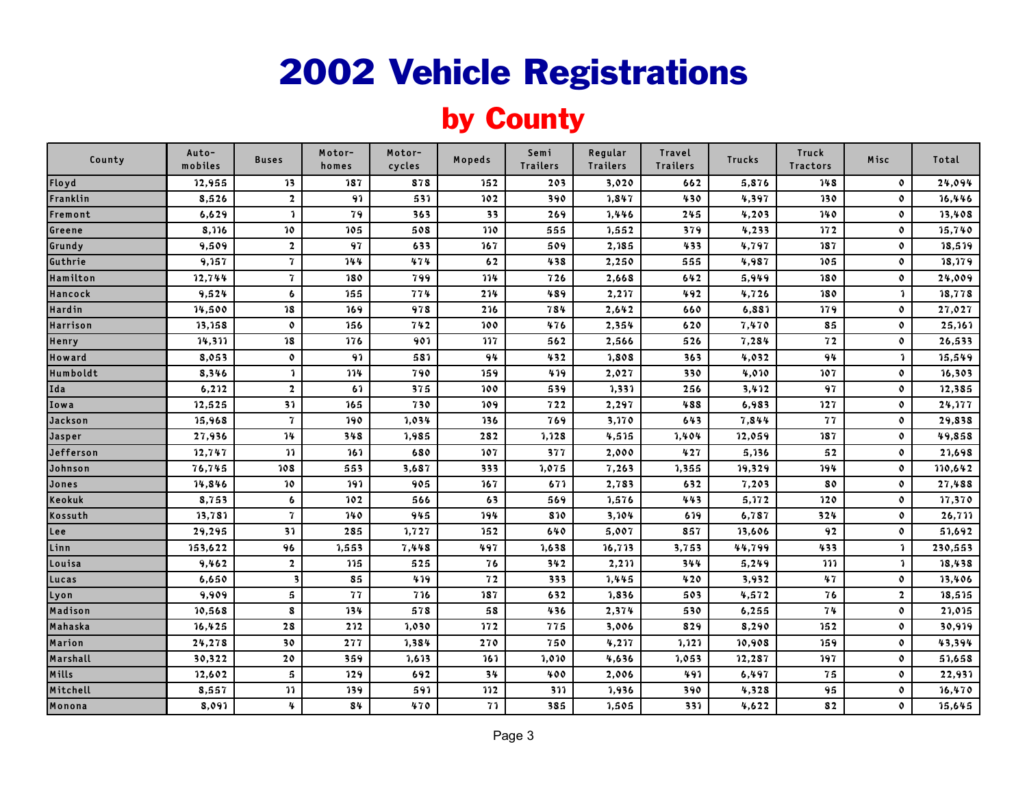### by County

| County    | Auto-<br>mobiles | <b>Buses</b>        | Motor-<br>homes | Motor-<br>cycles | Mopeds         | Semi<br><b>Trailers</b> | Regular<br><b>Trailers</b> | Travel<br><b>Trailers</b> | <b>Trucks</b> | Truck<br><b>Tractors</b> | Misc           | Total   |
|-----------|------------------|---------------------|-----------------|------------------|----------------|-------------------------|----------------------------|---------------------------|---------------|--------------------------|----------------|---------|
| Floyd     | 12,955           | 13                  | 187             | 878              | 152            | 203                     | 3,020                      | 662                       | 5,876         | 148                      | $\mathbf{o}$   | 24,094  |
| Franklin  | 8,526            | $\overline{2}$      | 91              | 531              | 102            | 390                     | 1,847                      | 430                       | 4,397         | 130                      | $\mathbf{o}$   | 16,446  |
| Fremont   | 6,629            | $\mathbf{1}$        | 79              | 363              | 33             | 269                     | 1,446                      | 245                       | 4,203         | 140                      | $\mathbf{o}$   | 13,408  |
| Greene    | 8,116            | 10                  | 105             | 508              | 110            | 555                     | 1,552                      | 379                       | 4,233         | 172                      | $\mathbf{o}$   | 15,740  |
| Grundy    | 9,509            | $\overline{2}$      | 97              | 633              | 167            | 509                     | 2,185                      | 433                       | 4,797         | 187                      | $\mathbf{o}$   | 18,519  |
| Guthrie   | 9,157            | $\overline{7}$      | 144             | 474              | 62             | 438                     | 2,250                      | 555                       | 4,987         | 105                      | $\mathbf{o}$   | 18,179  |
| Hamilton  | 12,744           | $\overline{7}$      | 180             | 799              | 114            | 726                     | 2,668                      | 642                       | 5,949         | 180                      | $\mathbf 0$    | 24,009  |
| Hancock   | 9,524            | 6                   | 155             | 774              | 214            | 489                     | 2,217                      | 492                       | 4,726         | 180                      | $\mathbf{1}$   | 18,778  |
| Hardin    | 14,500           | 18                  | 169             | 978              | 216            | 784                     | 2,642                      | 660                       | 6,881         | 179                      | $\mathbf{o}$   | 27,027  |
| Harrison  | 13,158           | $\mathbf{o}$        | 156             | 742              | 100            | 476                     | 2,354                      | 620                       | 7,470         | 85                       | $\mathbf{o}$   | 25,161  |
| Henry     | 14,311           | 18                  | 176             | 901              | 117            | 562                     | 2,566                      | 526                       | 7,284         | 72                       | $\mathbf{o}$   | 26,533  |
| Howard    | 8,053            | $\mathbf{o}$        | 91              | 581              | 94             | 432                     | 1,808                      | 363                       | 4,032         | 94                       | $\mathbf{1}$   | 15,549  |
| Humboldt  | 8,346            | າ                   | 114             | 790              | 159            | 419                     | 2,027                      | 330                       | 4,010         | 107                      | $\mathbf{o}$   | 16,303  |
| Ida       | 6,212            | $\overline{2}$      | 61              | 375              | 100            | 539                     | 1,331                      | 256                       | 3,412         | 97                       | $\mathbf 0$    | 12,385  |
| Iowa      | 12,525           | 31                  | 165             | 730              | 109            | 722                     | 2,297                      | 488                       | 6,983         | 127                      | $\mathbf{o}$   | 24,177  |
| Jackson   | 15,968           | $\overline{7}$      | 190             | 1,034            | 136            | 769                     | 3,170                      | 643                       | 7,844         | 77                       | $\mathbf{o}$   | 29,838  |
| Jasper    | 27,936           | 14                  | 348             | 1,985            | 282            | 1,128                   | 4,515                      | 1,404                     | 12,059        | 187                      | $\mathbf{o}$   | 49,858  |
| Jefferson | 12,747           | $\mathbf{v}$        | 161             | 680              | 107            | 377                     | 2,000                      | 427                       | 5,136         | 52                       | $\mathbf{o}$   | 21,698  |
| Johnson   | 76,745           | 108                 | 553             | 3,687            | 333            | 1,075                   | 7,263                      | 1,355                     | 19,329        | 194                      | $\mathbf 0$    | 110,642 |
| Jones     | 14,846           | 10                  | 191             | 905              | 167            | 671                     | 2,783                      | 632                       | 7,203         | 80                       | $\mathbf 0$    | 27,488  |
| Keokuk    | 8,753            | $\ddot{\mathbf{6}}$ | 102             | 566              | 63             | 569                     | 1,576                      | 443                       | 5,172         | 120                      | $\mathbf{o}$   | 17,370  |
| Kossuth   | 13,781           | $\overline{7}$      | 140             | 945              | 194            | 810                     | 3,104                      | 619                       | 6,787         | 324                      | $\mathfrak{0}$ | 26,711  |
| Lee       | 29,295           | 31                  | 285             | 1,727            | 152            | 640                     | 5,007                      | 857                       | 13,606        | 92                       | $\mathbf 0$    | 51,692  |
| Linn      | 153,622          | 96                  | 1,553           | 7,448            | 497            | 1,638                   | 16,713                     | 3,753                     | 44,799        | 433                      | $\mathbf{1}$   | 230,553 |
| Louisa    | 9,462            | $\overline{2}$      | 115             | 525              | 76             | 342                     | 2,211                      | 344                       | 5,249         | <b>111</b>               | $\mathbf{1}$   | 18,438  |
| Lucas     | 6,650            |                     | 85              | 419              | 72             | 333                     | 1,445                      | 420                       | 3,932         | 47                       | $\mathbf 0$    | 13,406  |
| Lyon      | 9,909            | 5                   | 77              | 716              | 187            | 632                     | 1,836                      | 503                       | 4,572         | 76                       | $\overline{2}$ | 18,515  |
| Madison   | 10,568           | 8                   | 134             | 578              | 58             | 436                     | 2,374                      | 530                       | 6,255         | 74                       | $\mathbf 0$    | 21,015  |
| Mahaska   | 16,425           | 28                  | 212             | 1,030            | 172            | 775                     | 3,006                      | 829                       | 8,290         | 152                      | $\mathbf{o}$   | 30,919  |
| Marion    | 24,278           | 30                  | 277             | 1,384            | 270            | 750                     | 4,217                      | 1,121                     | 10,908        | 159                      | $\mathbf{o}$   | 43,394  |
| Marshall  | 30,322           | 20                  | 359             | 1,613            | 161            | 1,010                   | 4,636                      | 1,053                     | 12,287        | 197                      | $\mathbf 0$    | 51,658  |
| Mills     | 12,602           | $\mathbf{5}$        | 129             | 692              | 3 <sup>4</sup> | 400                     | 2,006                      | 491                       | 6,497         | 75                       | $\mathbf 0$    | 22,931  |
| Mitchell  | 8,557            | $\mathbf{v}$        | 139             | 591              | 112            | 311                     | 1,936                      | 390                       | 4,328         | 95                       | $\mathbf{o}$   | 16,470  |
| Monona    | 8,091            | 4                   | 84              | 470              | 71             | 385                     | 1,505                      | 331                       | 4,622         | 82                       | $\mathbf{o}$   | 15,645  |